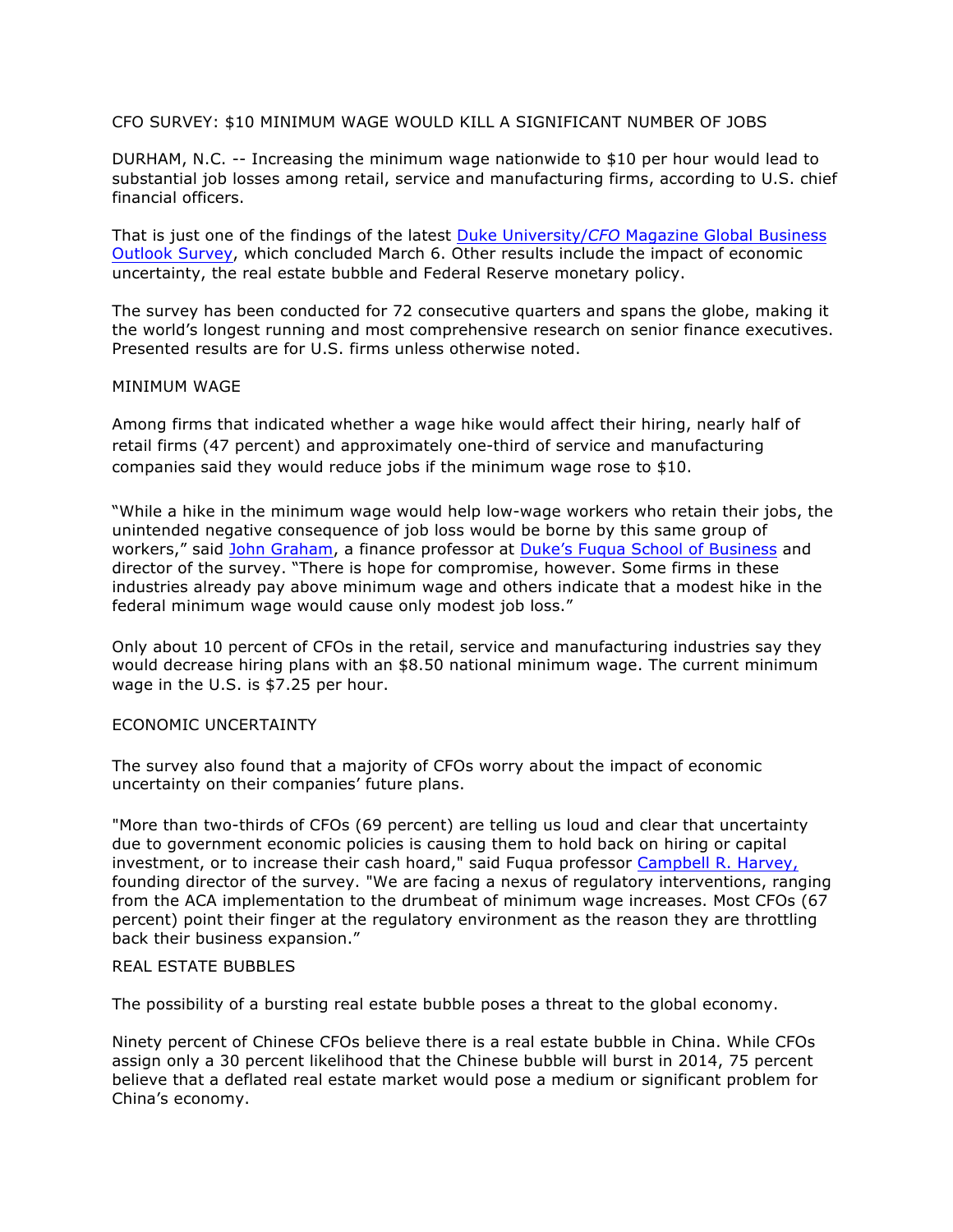CFO SURVEY: \$10 MINIMUM WAGE WOULD KILL A SIGNIFICANT NUMBER OF JOBS

DURHAM, N.C. -- Increasing the minimum wage nationwide to \$10 per hour would lead to substantial job losses among retail, service and manufacturing firms, according to U.S. chief financial officers.

That is just one of the findings of the latest Duke University/*CFO* Magazine Global Business Outlook Survey, which concluded March 6. Other results include the impact of economic uncertainty, the real estate bubble and Federal Reserve monetary policy.

The survey has been conducted for 72 consecutive quarters and spans the globe, making it the world's longest running and most comprehensive research on senior finance executives. Presented results are for U.S. firms unless otherwise noted.

# MINIMUM WAGE

Among firms that indicated whether a wage hike would affect their hiring, nearly half of retail firms (47 percent) and approximately one-third of service and manufacturing companies said they would reduce jobs if the minimum wage rose to \$10.

"While a hike in the minimum wage would help low-wage workers who retain their jobs, the unintended negative consequence of job loss would be borne by this same group of workers," said John Graham, a finance professor at Duke's Fuqua School of Business and director of the survey. "There is hope for compromise, however. Some firms in these industries already pay above minimum wage and others indicate that a modest hike in the federal minimum wage would cause only modest job loss."

Only about 10 percent of CFOs in the retail, service and manufacturing industries say they would decrease hiring plans with an \$8.50 national minimum wage. The current minimum wage in the U.S. is \$7.25 per hour.

### ECONOMIC UNCERTAINTY

The survey also found that a majority of CFOs worry about the impact of economic uncertainty on their companies' future plans.

"More than two-thirds of CFOs (69 percent) are telling us loud and clear that uncertainty due to government economic policies is causing them to hold back on hiring or capital investment, or to increase their cash hoard," said Fuqua professor Campbell R. Harvey, founding director of the survey. "We are facing a nexus of regulatory interventions, ranging from the ACA implementation to the drumbeat of minimum wage increases. Most CFOs (67 percent) point their finger at the regulatory environment as the reason they are throttling back their business expansion."

# REAL ESTATE BUBBLES

The possibility of a bursting real estate bubble poses a threat to the global economy.

Ninety percent of Chinese CFOs believe there is a real estate bubble in China. While CFOs assign only a 30 percent likelihood that the Chinese bubble will burst in 2014, 75 percent believe that a deflated real estate market would pose a medium or significant problem for China's economy.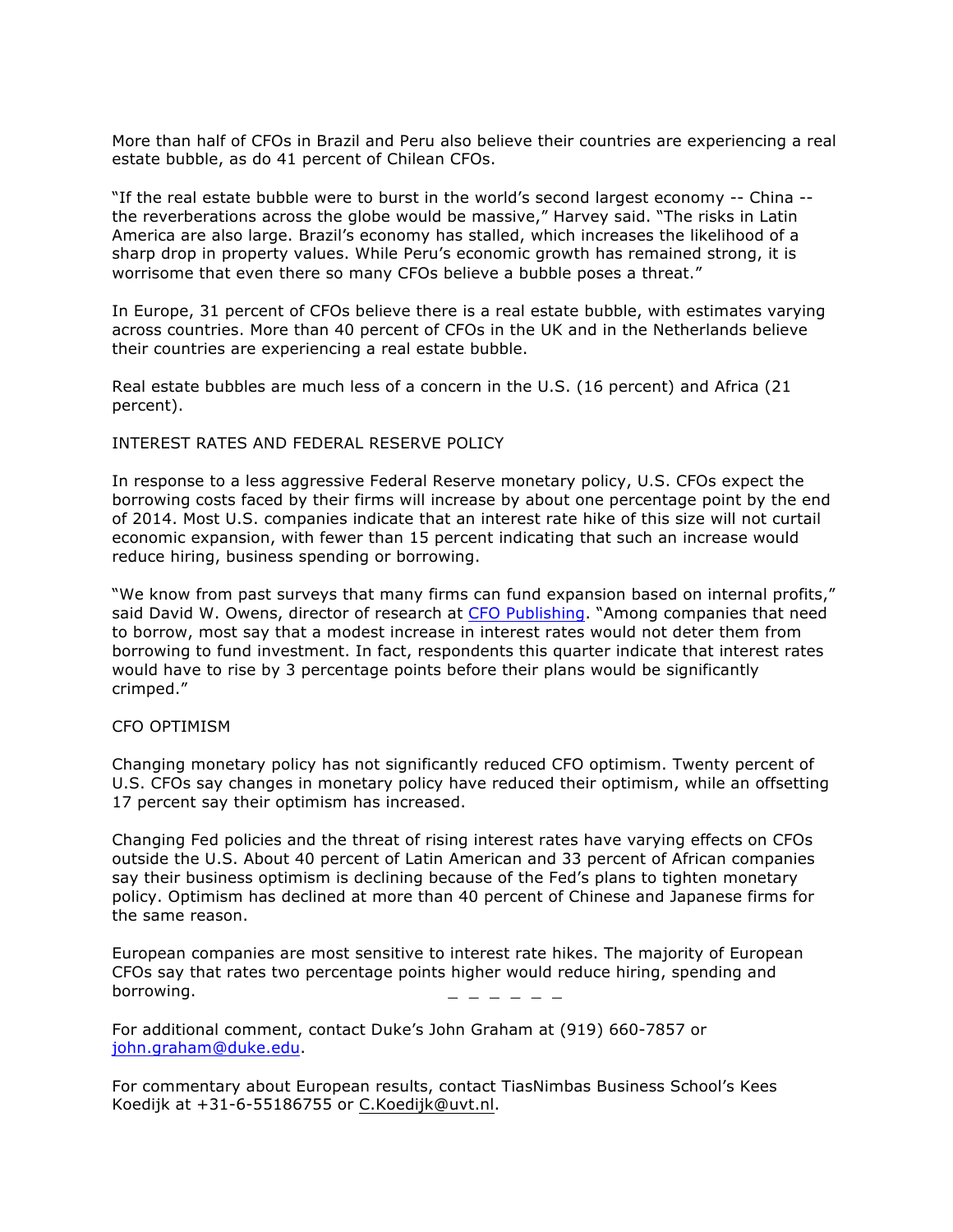More than half of CFOs in Brazil and Peru also believe their countries are experiencing a real estate bubble, as do 41 percent of Chilean CFOs.

"If the real estate bubble were to burst in the world's second largest economy -- China - the reverberations across the globe would be massive," Harvey said. "The risks in Latin America are also large. Brazil's economy has stalled, which increases the likelihood of a sharp drop in property values. While Peru's economic growth has remained strong, it is worrisome that even there so many CFOs believe a bubble poses a threat."

In Europe, 31 percent of CFOs believe there is a real estate bubble, with estimates varying across countries. More than 40 percent of CFOs in the UK and in the Netherlands believe their countries are experiencing a real estate bubble.

Real estate bubbles are much less of a concern in the U.S. (16 percent) and Africa (21 percent).

#### INTEREST RATES AND FEDERAL RESERVE POLICY

In response to a less aggressive Federal Reserve monetary policy, U.S. CFOs expect the borrowing costs faced by their firms will increase by about one percentage point by the end of 2014. Most U.S. companies indicate that an interest rate hike of this size will not curtail economic expansion, with fewer than 15 percent indicating that such an increase would reduce hiring, business spending or borrowing.

"We know from past surveys that many firms can fund expansion based on internal profits," said David W. Owens, director of research at CFO Publishing. "Among companies that need to borrow, most say that a modest increase in interest rates would not deter them from borrowing to fund investment. In fact, respondents this quarter indicate that interest rates would have to rise by 3 percentage points before their plans would be significantly crimped."

#### CFO OPTIMISM

Changing monetary policy has not significantly reduced CFO optimism. Twenty percent of U.S. CFOs say changes in monetary policy have reduced their optimism, while an offsetting 17 percent say their optimism has increased.

Changing Fed policies and the threat of rising interest rates have varying effects on CFOs outside the U.S. About 40 percent of Latin American and 33 percent of African companies say their business optimism is declining because of the Fed's plans to tighten monetary policy. Optimism has declined at more than 40 percent of Chinese and Japanese firms for the same reason.

European companies are most sensitive to interest rate hikes. The majority of European CFOs say that rates two percentage points higher would reduce hiring, spending and borrowing.

For additional comment, contact Duke's John Graham at (919) 660-7857 or john.graham@duke.edu.

For commentary about European results, contact TiasNimbas Business School's Kees Koedijk at +31-6-55186755 or C.Koedijk@uvt.nl.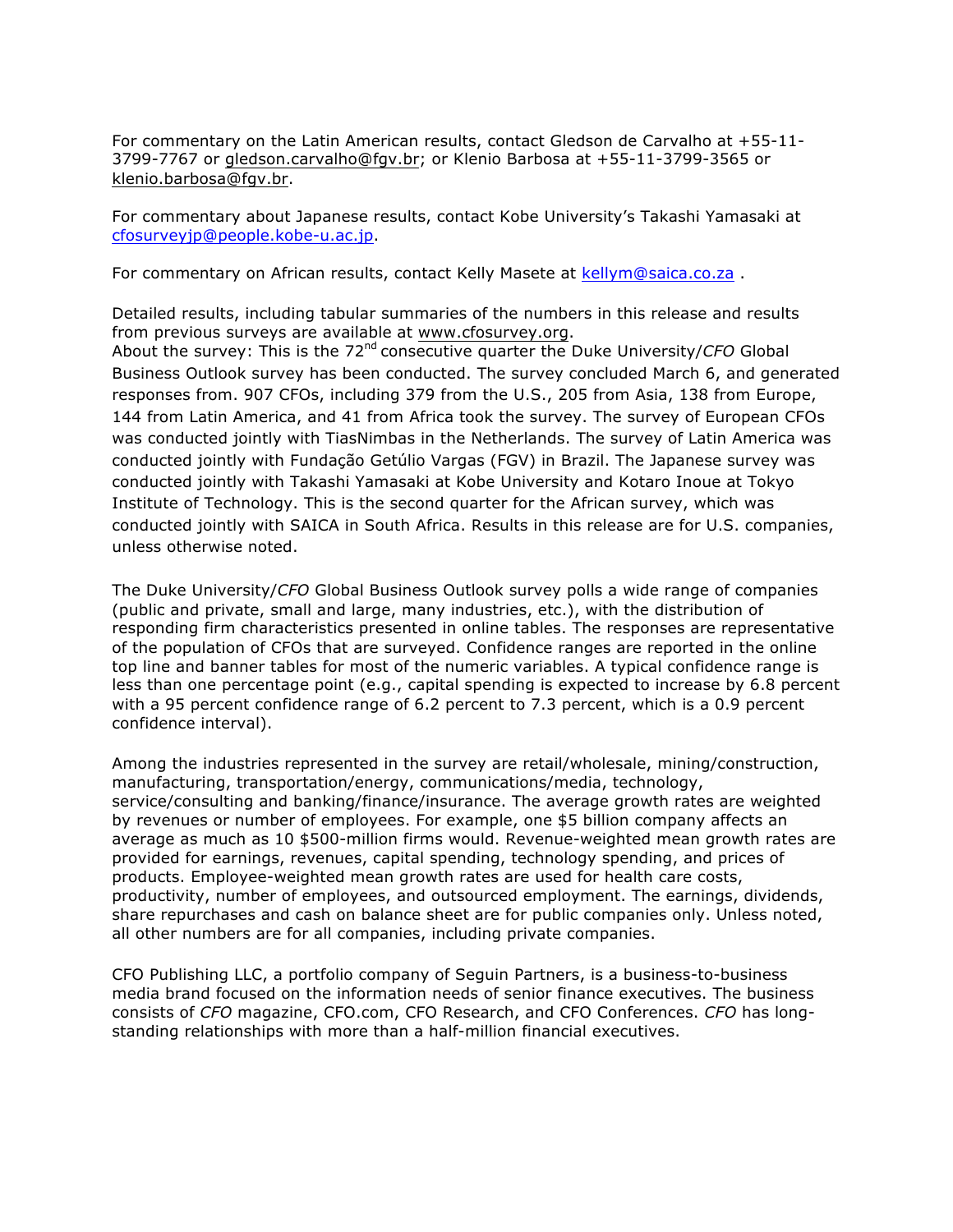For commentary on the Latin American results, contact Gledson de Carvalho at +55-11- 3799-7767 or gledson.carvalho@fgv.br; or Klenio Barbosa at +55-11-3799-3565 or klenio.barbosa@fgv.br.

For commentary about Japanese results, contact Kobe University's Takashi Yamasaki at cfosurveyjp@people.kobe-u.ac.jp.

For commentary on African results, contact Kelly Masete at kellym@saica.co.za.

Detailed results, including tabular summaries of the numbers in this release and results from previous surveys are available at www.cfosurvey.org.

About the survey: This is the 72nd consecutive quarter the Duke University/*CFO* Global Business Outlook survey has been conducted. The survey concluded March 6, and generated responses from. 907 CFOs, including 379 from the U.S., 205 from Asia, 138 from Europe, 144 from Latin America, and 41 from Africa took the survey. The survey of European CFOs was conducted jointly with TiasNimbas in the Netherlands. The survey of Latin America was conducted jointly with Fundação Getúlio Vargas (FGV) in Brazil. The Japanese survey was conducted jointly with Takashi Yamasaki at Kobe University and Kotaro Inoue at Tokyo Institute of Technology. This is the second quarter for the African survey, which was conducted jointly with SAICA in South Africa. Results in this release are for U.S. companies, unless otherwise noted.

The Duke University/*CFO* Global Business Outlook survey polls a wide range of companies (public and private, small and large, many industries, etc.), with the distribution of responding firm characteristics presented in online tables. The responses are representative of the population of CFOs that are surveyed. Confidence ranges are reported in the online top line and banner tables for most of the numeric variables. A typical confidence range is less than one percentage point (e.g., capital spending is expected to increase by 6.8 percent with a 95 percent confidence range of 6.2 percent to 7.3 percent, which is a 0.9 percent confidence interval).

Among the industries represented in the survey are retail/wholesale, mining/construction, manufacturing, transportation/energy, communications/media, technology, service/consulting and banking/finance/insurance. The average growth rates are weighted by revenues or number of employees. For example, one \$5 billion company affects an average as much as 10 \$500-million firms would. Revenue-weighted mean growth rates are provided for earnings, revenues, capital spending, technology spending, and prices of products. Employee-weighted mean growth rates are used for health care costs, productivity, number of employees, and outsourced employment. The earnings, dividends, share repurchases and cash on balance sheet are for public companies only. Unless noted, all other numbers are for all companies, including private companies.

CFO Publishing LLC, a portfolio company of Seguin Partners, is a business-to-business media brand focused on the information needs of senior finance executives. The business consists of *CFO* magazine, CFO.com, CFO Research, and CFO Conferences. *CFO* has longstanding relationships with more than a half-million financial executives.